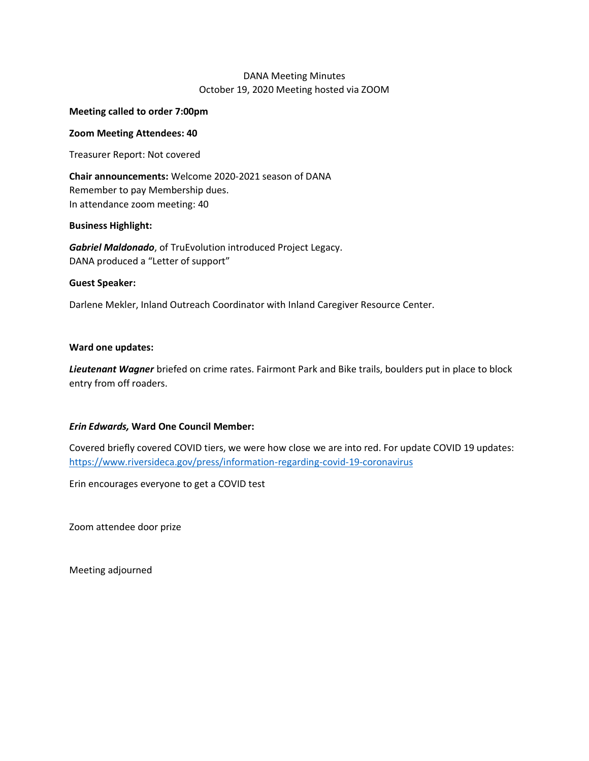# DANA Meeting Minutes October 19, 2020 Meeting hosted via ZOOM

### **Meeting called to order 7:00pm**

### **Zoom Meeting Attendees: 40**

Treasurer Report: Not covered

**Chair announcements:** Welcome 2020-2021 season of DANA Remember to pay Membership dues. In attendance zoom meeting: 40

### **Business Highlight:**

*Gabriel Maldonado*, of TruEvolution introduced Project Legacy. DANA produced a "Letter of support"

### **Guest Speaker:**

Darlene Mekler, Inland Outreach Coordinator with Inland Caregiver Resource Center.

### **Ward one updates:**

*Lieutenant Wagner* briefed on crime rates. Fairmont Park and Bike trails, boulders put in place to block entry from off roaders.

## *Erin Edwards,* **Ward One Council Member:**

Covered briefly covered COVID tiers, we were how close we are into red. For update COVID 19 updates: <https://www.riversideca.gov/press/information-regarding-covid-19-coronavirus>

Erin encourages everyone to get a COVID test

Zoom attendee door prize

Meeting adjourned